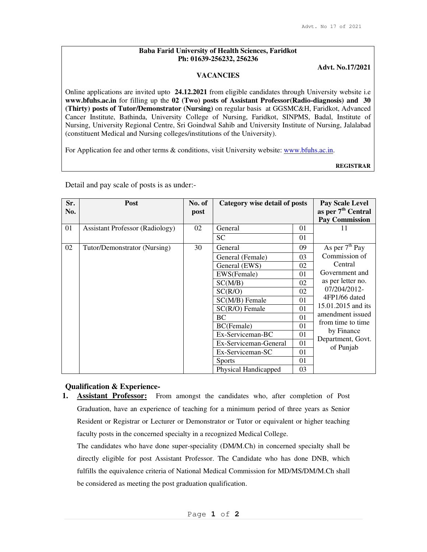### **Baba Farid University of Health Sciences, Faridkot Ph: 01639-256232, 256236**

## **Advt. No.17/2021**

### **VACANCIES**

Online applications are invited upto **24.12.2021** from eligible candidates through University website i.e **www.bfuhs.ac.in** for filling up the **02 (Two) posts of Assistant Professor(Radio-diagnosis) and 30 (Thirty) posts of Tutor/Demonstrator (Nursing)** on regular basis at GGSMC&H, Faridkot, Advanced Cancer Institute, Bathinda, University College of Nursing, Faridkot, SINPMS, Badal, Institute of Nursing, University Regional Centre, Sri Goindwal Sahib and University Institute of Nursing, Jalalabad (constituent Medical and Nursing colleges/institutions of the University).

For Application fee and other terms & conditions, visit University website: www.bfuhs.ac.in.

**REGISTRAR**

| Sr.<br>No. | <b>Post</b>                            | No. of<br>post | Category wise detail of posts |    | Pay Scale Level<br>as per 7 <sup>th</sup> Central<br><b>Pay Commission</b> |
|------------|----------------------------------------|----------------|-------------------------------|----|----------------------------------------------------------------------------|
| 01         | <b>Assistant Professor (Radiology)</b> | 02             | General                       | 01 | 11                                                                         |
|            |                                        |                | <b>SC</b>                     | 01 |                                                                            |
| 02         | Tutor/Demonstrator (Nursing)           | 30             | General                       | 09 | As per $7th$ Pay                                                           |
|            |                                        |                | General (Female)              | 03 | Commission of                                                              |
|            |                                        |                | General (EWS)                 | 02 | Central                                                                    |
|            |                                        |                | EWS(Female)                   | 01 | Government and                                                             |
|            |                                        |                | SC(M/B)                       | 02 | as per letter no.                                                          |
|            |                                        |                | SC(R/O)                       | 02 | 07/204/2012-                                                               |
|            |                                        |                | SC(M/B) Female                | 01 | 4FP1/66 dated                                                              |
|            |                                        |                | $SC(R/O)$ Female              | 01 | 15.01.2015 and its                                                         |
|            |                                        |                | <b>BC</b>                     | 01 | amendment issued                                                           |
|            |                                        |                | BC(Female)                    | 01 | from time to time<br>by Finance                                            |
|            |                                        |                | Ex-Serviceman-BC              | 01 | Department, Govt.                                                          |
|            |                                        |                | Ex-Serviceman-General         | 01 | of Punjab                                                                  |
|            |                                        |                | Ex-Serviceman-SC              | 01 |                                                                            |
|            |                                        |                | <b>Sports</b>                 | 01 |                                                                            |
|            |                                        |                | Physical Handicapped          | 03 |                                                                            |

Detail and pay scale of posts is as under:-

# **Qualification & Experience-**

**1. Assistant Professor:** From amongst the candidates who, after completion of Post Graduation, have an experience of teaching for a minimum period of three years as Senior Resident or Registrar or Lecturer or Demonstrator or Tutor or equivalent or higher teaching faculty posts in the concerned specialty in a recognized Medical College.

The candidates who have done super-speciality (DM/M.Ch) in concerned specialty shall be directly eligible for post Assistant Professor. The Candidate who has done DNB, which fulfills the equivalence criteria of National Medical Commission for MD/MS/DM/M.Ch shall be considered as meeting the post graduation qualification.